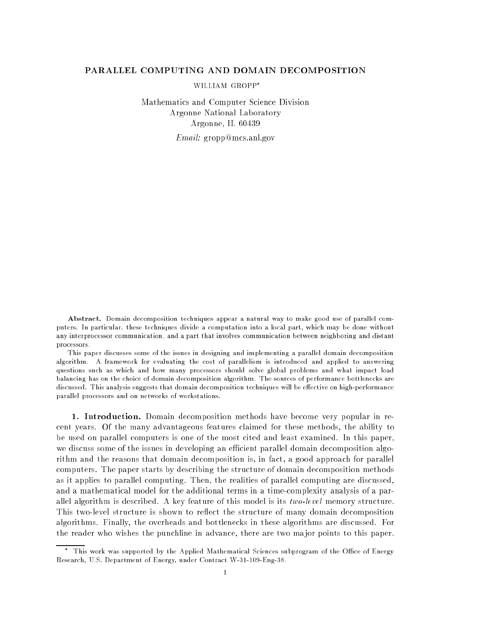## PARALLEL COMPUTING AND DOMAIN DECOMPOSITION

WILLIAM GROPP

Mathematics and Computer Science Division Argonne National Laboratory Argonne, IL 60439

Email: gropp@mcs.anl.gov

Abstract. Domain decomposition techniques appear a natural way to make good use of parallel computers. In particular, these techniques divide a computation into a local part, which may be done without any interprocessor communication, and a part that involves communication between neighboring and distant processors.

This paper discusses some of the issues in designing and implementing a parallel domain decomposition algorithm. A framework for evaluating the cost of parallelism is introduced and applied to answering questions such as which and how many processors should solve global problems and what impact load balancing has on the choice of domain decomposition algorithm. The sources of performance bottlenecks are discussed. This analysis suggests that domain decomposition techniques will be effective on high-performance parallel processors and on networks of workstations.

1. Introduction. Domain decomposition methods have become very popular in recent years. Of the many advantageous features claimed for these methods, the ability to be used on parallel computers is one of the most cited and least examined. In this paper, we discuss some of the issues in developing an efficient parallel domain decomposition algorithm and the reasons that domain decomposition is, in fact, a good approach for parallel computers. The paper starts by describing the structure of domain decomposition methods as it applies to parallel computing. Then, the realities of parallel computing are discussed, and a mathematical model for the additional terms in a time-complexity analysis of a parallel algorithm is described. A key feature of this model is its two-level memory structure. This two-level structure is shown to reflect the structure of many domain decomposition algorithms. Finally, the overheads and bottlenecks in these algorithms are discussed. For the reader who wishes the punchline in advance, there are two ma jor points to this paper.

This work was supported by the Applied Mathematical Sciences subprogram of the Office of Energy Research, U.S. Department of Energy, under Contract W-31-109-Eng-38.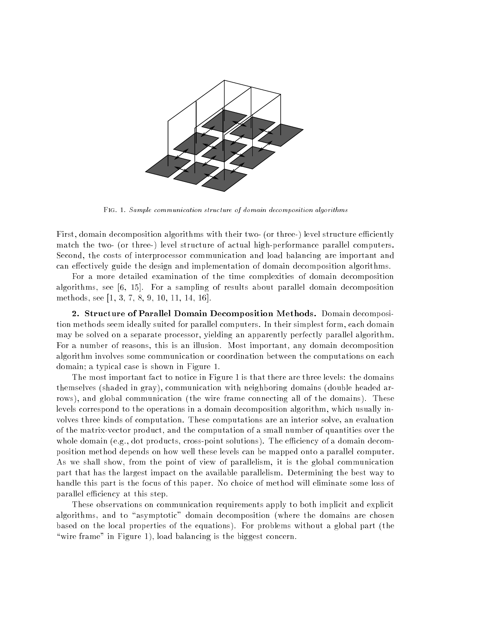

Fig. 1. Sample communication structure of domain decomposition algorithms

First, domain decomposition algorithms with their two- (or three-) level structure efficiently match the two- (or three-) level structure of actual high-performance parallel computers. Second, the costs of interprocessor communication and load balancing are important and can effectively guide the design and implementation of domain decomposition algorithms.

For a more detailed examination of the time complexities of domain decomposition algorithms, see [6, 15]. For a sampling of results about parallel domain decomposition methods, see [1, 3, 7, 8, 9, 10, 11, 14, 16].

2. Structure of Parallel Domain Decomposition Methods. Domain decomposition methods seem ideally suited for parallel computers. In their simplest form, each domain may be solved on a separate processor, yielding an apparently perfectly parallel algorithm. For a number of reasons, this is an illusion. Most important, any domain decomposition algorithm involves some communication or coordination between the computations on each domain; a typical case is shown in Figure 1.

The most important fact to notice in Figure 1 is that there are three levels: the domains themselves (shaded in gray), communication with neighboring domains (double headed arrows), and global communication (the wire frame connecting all of the domains). These levels correspond to the operations in a domain decomposition algorithm, which usually involves three kinds of computation. These computations are an interior solve, an evaluation of the matrix-vector product, and the computation of a small number of quantities over the whole domain (e.g., dot products, cross-point solutions). The efficiency of a domain decomposition method depends on how well these levels can be mapped onto a parallel computer. As we shall show, from the point of view of parallelism, it is the global communication part that has the largest impact on the available parallelism. Determining the best way to handle this part is the focus of this paper. No choice of method will eliminate some loss of parallel efficiency at this step.

These observations on communication requirements apply to both implicit and explicit algorithms, and to "asymptotic" domain decomposition (where the domains are chosen based on the local properties of the equations). For problems without a global part (the "wire frame" in Figure 1), load balancing is the biggest concern.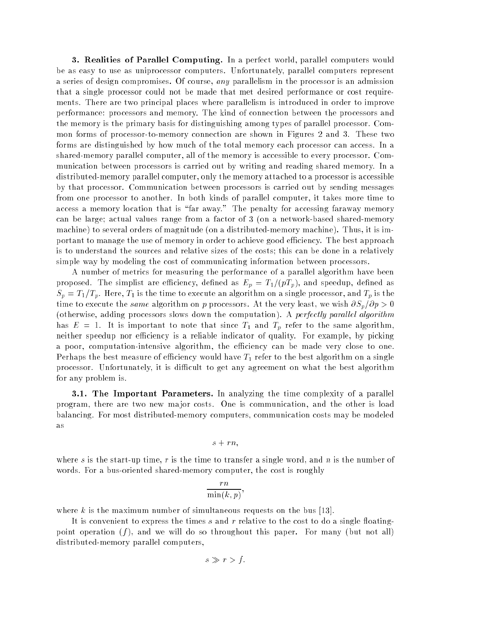3. Realities of Parallel Computing. In a perfect world, parallel computers would be as easy to use as uniprocessor computers. Unfortunately, parallel computers represent a series of design compromises. Of course, any parallelism in the processor is an admission that a single processor could not be made that met desired performance or cost requirements. There are two principal places where parallelism is introduced in order to improve performance: processors and memory. The kind of connection between the processors and the memory is the primary basis for distinguishing among types of parallel processor. Common forms of processor-to-memory connection are shown in Figures 2 and 3. These two forms are distinguished by how much of the total memory each processor can access. In a shared-memory parallel computer, all of the memory is accessible to every processor. Communication between processors is carried out by writing and reading shared memory. In a distributed-memory parallel computer, only the memory attached to a processor is accessible by that processor. Communication between processors is carried out by sending messages from one processor to another. In both kinds of parallel computer, it takes more time to access a memory location that is "far away." The penalty for accessing faraway memory can be large; actual values range from a factor of 3 (on a network-based shared-memory machine) to several orders of magnitude (on a distributed-memory machine). Thus, it is important to manage the use of memory in order to achieve good efficiency. The best approach is to understand the sources and relative sizes of the costs; this can be done in a relatively simple way by modeling the cost of communicating information between processors.

A number of metrics for measuring the performance of a parallel algorithm have been proposed. The simplist are efficiency, defined as  $E_p = T_1/(pT_p)$ , and speedup, defined as  $S_p = T_1/T_p$ . Here,  $T_1$  is the time to execute an algorithm on a single processor, and  $T_p$  is the time to execute the same algorithm on p processors. At the very least, we wish  $\partial S_p/\partial p > 0$ (otherwise, adding processors slows down the computation). A *perfectly parallel algorithm* has E  $\sim$  1. It is important to note that since  $\pm 1$  and  $\pm 0$  refer to the same algorithm, neither speedup nor efficiency is a reliable indicator of quality. For example, by picking a poor, computation-intensive algorithm, the efficiency can be made very close to one. Perhaps the best measure of eciency would have T1 refer to the best algorithm on a single processor. Unfortunately, it is difficult to get any agreement on what the best algorithm for any problem is.

3.1. The Important Parameters. In analyzing the time complexity of a parallel program, there are two new ma jor costs. One is communication, and the other is load balancing. For most distributed-memory computers, communication costs may be modeled as

$$
s+rn,
$$

where s is the start-up time, r is the time to transfer a single word, and n is the number of words. For a bus-oriented shared-memory computer, the cost is roughly

$$
\frac{rn}{\min(k,p)},
$$

where k is the maximum number of simultaneous requests on the bus [13].

It is convenient to express the times s and r relative to the cost to do a single floatingpoint operation  $(f)$ , and we will do so throughout this paper. For many (but not all) distributed-memory parallel computers,

$$
s \gg r > f.
$$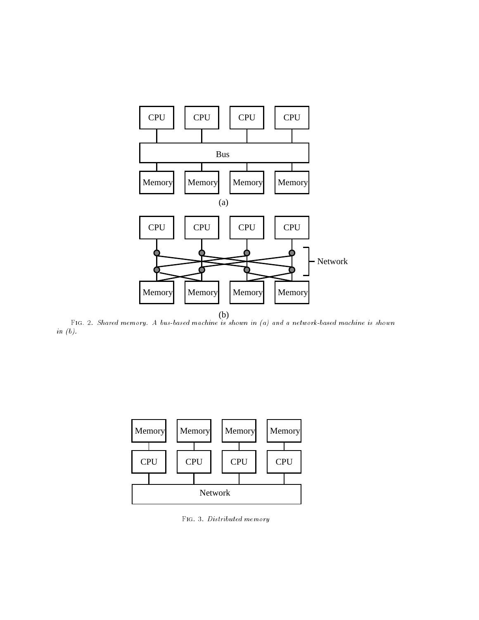

(b) Fig. 2. Shared memory. A bus-based machine is shown in (a) and a network-based machine is shown in (b).



Fig. 3. Distributed memory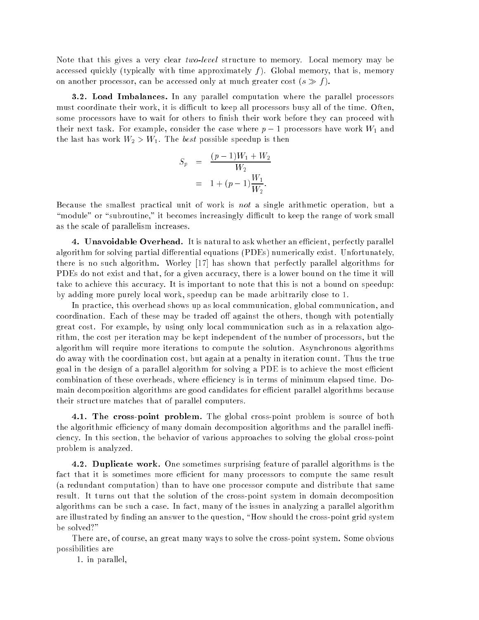Note that this gives a very clear two-level structure to memory. Local memory may be accessed quickly (typically with time approximately  $f$ ). Global memory, that is, memory on another processor, can be accessed only at much greater cost  $(s \gg f)$ .

3.2. Load Imbalances. In any parallel computation where the parallel processors must coordinate their work, it is difficult to keep all processors busy all of the time. Often, some processors have to wait for others to finish their work before they can proceed with their next task. For example, consider the case where <sup>p</sup> 1 processors have work W1 and the last the last work work  $\Delta$  of the first possible speedup is the best possible speedup is the best  $\Delta$ 

$$
S_p = \frac{(p-1)W_1 + W_2}{W_2}
$$
  
= 1 + (p-1)\frac{W\_1}{W\_2}.

Because the smallest practical unit of work is not a single arithmetic operation, but a "module" or "subroutine," it becomes increasingly difficult to keep the range of work small as the scale of parallelism increases.

4. Unavoidable Overhead. It is natural to ask whether an efficient, perfectly parallel algorithm for solving partial differential equations (PDEs) numerically exist. Unfortunately, there is no such algorithm. Worley [17] has shown that perfectly parallel algorithms for PDEs do not exist and that, for a given accuracy, there is a lower bound on the time it will take to achieve this accuracy. It is important to note that this is not a bound on speedup: by adding more purely local work, speedup can be made arbitrarily close to 1.

In practice, this overhead shows up as local communication, global communication, and coordination. Each of these may be traded off against the others, though with potentially great cost. For example, by using only local communication such as in a relaxation algorithm, the cost per iteration may be kept independent of the number of processors, but the algorithm will require more iterations to compute the solution. Asynchronous algorithms do away with the coordination cost, but again at a penalty in iteration count. Thus the true goal in the design of a parallel algorithm for solving a PDE is to achieve the most efficient combination of these overheads, where efficiency is in terms of minimum elapsed time. Domain decomposition algorithms are good candidates for efficient parallel algorithms because their structure matches that of parallel computers.

4.1. The cross-point problem. The global cross-point problem is source of both the algorithmic efficiency of many domain decomposition algorithms and the parallel inefficiency. In this section, the behavior of various approaches to solving the global cross-point problem is analyzed.

4.2. Duplicate work. One sometimes surprising feature of parallel algorithms is the fact that it is sometimes more efficient for many processors to compute the same result (a redundant computation) than to have one processor compute and distribute that same result. It turns out that the solution of the cross-point system in domain decomposition algorithms can be such a case. In fact, many of the issues in analyzing a parallel algorithm are illustrated by finding an answer to the question, "How should the cross-point grid system be solved?"

There are, of course, an great many ways to solve the cross-point system. Some obvious possibilities are

1. in parallel,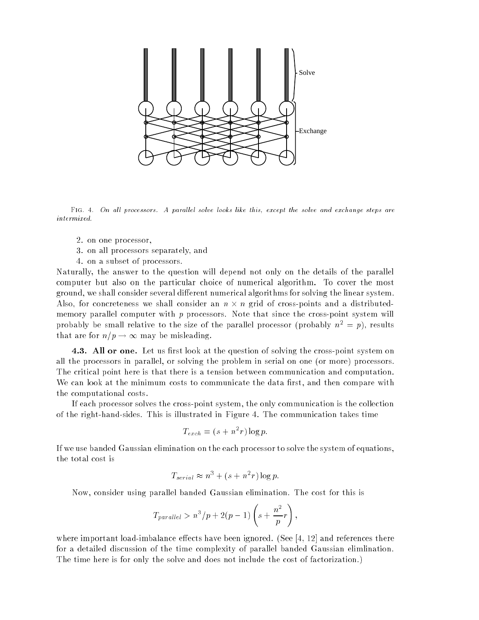

FIG. 4. On all processors. A parallel solve looks like this, except the solve and exchange steps are intermixed.

- 2. on one processor,
- 3. on all processors separately, and
- 4. on a subset of processors.

Naturally, the answer to the question will depend not only on the details of the parallel computer but also on the particular choice of numerical algorithm. To cover the most ground, we shall consider several different numerical algorithms for solving the linear system. Also, for concreteness we shall consider an <sup>n</sup> - <sup>n</sup> grid of cross-points and a distributedmemory parallel computer with  $p$  processors. Note that since the cross-point system will probably be small relative to the size of the parallel processor (probably  $n^2 = p$ ), results that are for  $n/p \to \infty$  may be misleading.

4.3. All or one. Let us first look at the question of solving the cross-point system on all the processors in parallel, or solving the problem in serial on one (or more) processors. The critical point here is that there is a tension between communication and computation. We can look at the minimum costs to communicate the data first, and then compare with the computational costs.

If each processor solves the cross-point system, the only communication is the collection of the right-hand-sides. This is illustrated in Figure 4. The communication takes time

$$
T_{exch} = (s + n^2 r) \log p.
$$

If we use banded Gaussian elimination on the each processor to solve the system of equations, the total cost is

$$
T_{serial} \approx n^3 + (s + n^2 r) \log p.
$$

Now, consider using parallel banded Gaussian elimination. The cost for this is

$$
T_{parallel} > n^3/p + 2(p - 1)\left(s + \frac{n^2}{p}r\right)
$$

where important load-imbalance effects have been ignored. (See  $[4, 12]$  and references there for a detailed discussion of the time complexity of parallel banded Gaussian elimlination. The time here is for only the solve and does not include the cost of factorization.)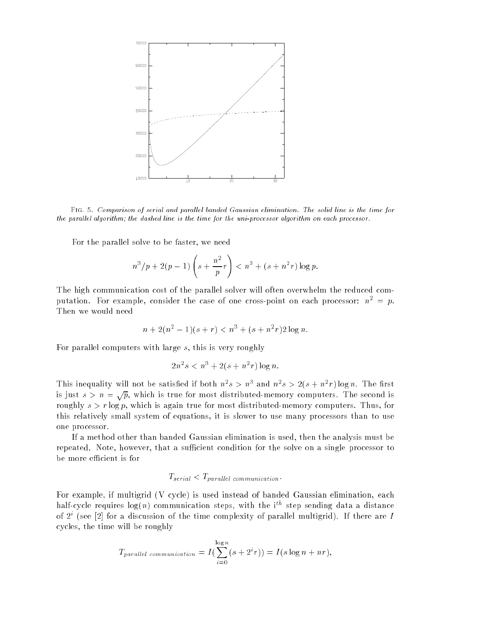

FIG. 5. Comparison of serial and parallel banded Gaussian elimination. The solid line is the time for the parallel algorithm; the dashed line is the time for the uni-processor algorithm on each processor.

For the parallel solve to be faster, we need

$$
n^3/p + 2(p-1)\left(s + \frac{n^2}{p}r\right) < n^3 + (s + n^2r)\log p.
$$

The high communication cost of the parallel solver will often overwhelm the reduced computation. For example, consider the case of one cross-point on each processor:  $n^2 = p$ . Then we would need

$$
n + 2(n2 - 1)(s + r) < n3 + (s + n2r)2\log n.
$$

For parallel computers with large s, this is very roughly

$$
2n^2s < n^3 + 2(s + n^2r) \log n.
$$

This inequality will not be satisfied if both  $n-s > n$  and  $n-s > 2(s+n-r) \log n$ . The first is just  $s > n = \sqrt{p}$ , which is true for most distributed-memory computers. The second is roughly  $s > r \log p$ , which is again true for most distributed-memory computers. Thus, for this relatively small system of equations, it is slower to use many processors than to use one processor.

If a method other than banded Gaussian elimination is used, then the analysis must be repeated. Note, however, that a sufficient condition for the solve on a single processor to be more efficient is for

## $T_{serial} < T_{parallel}$  communication.

For example, if multigrid (V cycle) is used instead of banded Gaussian elimination, each  ${\rm max}$ -cycle requires  $\log(n)$  communication steps, with the its step sending data a distance of  $2^{\circ}$  (see  $|2|$  for a discussion of the time complexity of parallel multigrid). If there are  $I$ cycles, the time will be roughly

$$
T_{parallel~communication} = I(\sum_{i=0}^{\log n} (s + 2^{i}r)) = I(s \log n + nr),
$$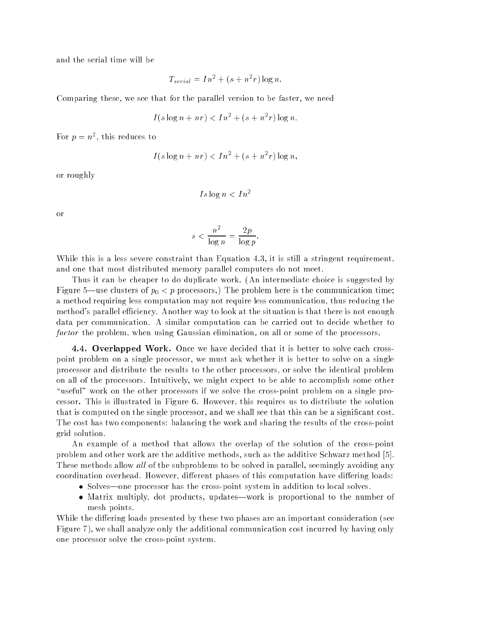and the serial time will be

$$
T_{serial} = In^2 + (s + n^2 r) \log n.
$$

Comparing these, we see that for the parallel version to be faster, we need

$$
I(s\log n+nr)
$$

For  $p = n^-$ , this reduces to

$$
I(s\log n + nr) < In^2 + (s+n^2r)\log n,
$$

or roughly

$$
Is\log n < In^2
$$

or

$$
s < \frac{n^2}{\log n} = \frac{2p}{\log p}.
$$

While this is a less severe constraint than Equation 4.3, it is still a stringent requirement, and one that most distributed memory parallel computers do not meet.

Thus it can be cheaper to do duplicate work. (An intermediate choice is suggested by Figure 5|use clusters of p0 < p processors.) The problem here is the communication time; a method requiring less computation may not require less communication, thus reducing the method's parallel efficiency. Another way to look at the situation is that there is not enough data per communication. A similar computation can be carried out to decide whether to factor the problem, when using Gaussian elimination, on all or some of the processors.

4.4. Overlapped Work. Once we have decided that it is better to solve each crosspoint problem on a single processor, we must ask whether it is better to solve on a single processor and distribute the results to the other processors, or solve the identical problem on all of the processors. Intuitively, we might expect to be able to accomplish some other "useful" work on the other processors if we solve the cross-point problem on a single processor. This is illustrated in Figure 6. However, this requires us to distribute the solution that is computed on the single processor, and we shall see that this can be a signicant cost. The cost has two components: balancing the work and sharing the results of the cross-point grid solution.

An example of a method that allows the overlap of the solution of the cross-point problem and other work are the additive methods, such as the additive Schwarz method [5]. These methods allow all of the subproblems to be solved in parallel, seemingly avoiding any coordination overhead. However, different phases of this computation have differing loads:

- Solves—one processor has the cross-point system in addition to local solves.
- Matrix multiply, dot products, updates—work is proportional to the number of mesh points.

While the differing loads presented by these two phases are an important consideration (see Figure 7), we shall analyze only the additional communication cost incurred by having only one processor solve the cross-point system.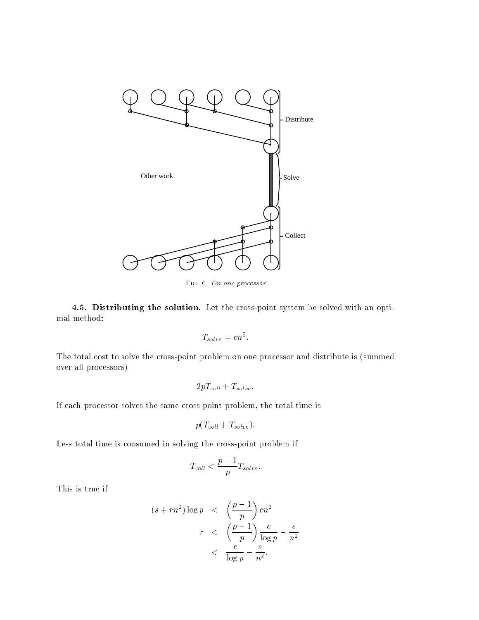

Fig. 6. On one processor

4.5. Distributing the solution. Let the cross-point system be solved with an optimal method:

$$
T_{solve} = cn^2.
$$

The total cost to solve the cross-point problem on one processor and distribute is (summed over all processors)

$$
2pT_{coll}+T_{solve}.
$$

If each processor solves the same cross-point problem, the total time is

$$
p(T_{coll}+T_{solve}).
$$

Less total time is consumed in solving the cross-point problem if

$$
T_{coll} < \frac{p-1}{p} T_{solve}.
$$

This is true if

$$
(s + rn^2) \log p \quad < \quad \left(\frac{p-1}{p}\right) cn^2
$$
\n
$$
r \quad < \quad \left(\frac{p-1}{p}\right) \frac{c}{\log p} - \frac{s}{n^2}
$$
\n
$$
\quad < \quad \frac{c}{\log p} - \frac{s}{n^2}.
$$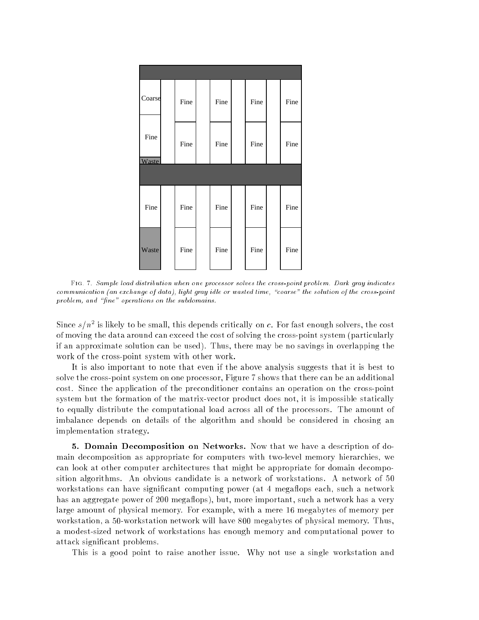| Coarse        | Fine | Fine | Fine | Fine |
|---------------|------|------|------|------|
| Fine<br>Waste | Fine | Fine | Fine | Fine |
|               |      |      |      |      |
| Fine          | Fine | Fine | Fine | Fine |
| Waste         | Fine | Fine | Fine | Fine |

Fig. 7. Sample load distribution when one processor solves the cross-point problem. Dark gray indicates communication (an exchange of data), light gray idle or wasted time, "coarse" the solution of the cross-point problem, and "fine" operations on the subdomains.

Since  $s/n$  is likely to be small, this depends critically on c. For fast enough solvers, the cost of moving the data around can exceed the cost of solving the cross-point system (particularly if an approximate solution can be used). Thus, there may be no savings in overlapping the work of the cross-point system with other work.

It is also important to note that even if the above analysis suggests that it is best to solve the cross-point system on one processor, Figure 7 shows that there can be an additional cost. Since the application of the preconditioner contains an operation on the cross-point system but the formation of the matrix-vector product does not, it is impossible statically to equally distribute the computational load across all of the processors. The amount of imbalance depends on details of the algorithm and should be considered in chosing an implementation strategy.

5. Domain Decomposition on Networks. Now that we have a description of domain decomposition as appropriate for computers with two-level memory hierarchies, we can look at other computer architectures that might be appropriate for domain decomposition algorithms. An obvious candidate is a network of workstations. A network of 50 workstations can have significant computing power (at 4 megaflops each, such a network has an aggregate power of 200 megaflops), but, more important, such a network has a very large amount of physical memory. For example, with a mere 16 megabytes of memory per workstation, a 50-workstation network will have 800 megabytes of physical memory. Thus, a modest-sized network of workstations has enough memory and computational power to attack signicant problems.

This is a good point to raise another issue. Why not use a single workstation and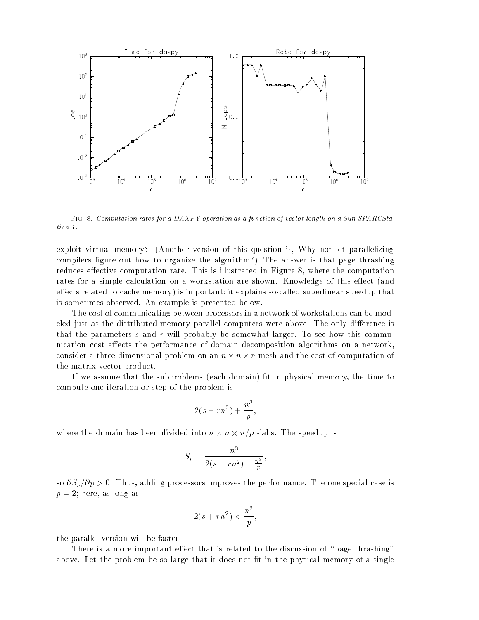

Fig. 8. Computation rates for a DAXPY operation as a function of vector length on a Sun SPARCStation 1.

exploit virtual memory? (Another version of this question is, Why not let parallelizing compilers figure out how to organize the algorithm?) The answer is that page thrashing reduces effective computation rate. This is illustrated in Figure 8, where the computation rates for a simple calculation on a workstation are shown. Knowledge of this effect (and effects related to cache memory) is important; it explains so-called superlinear speedup that is sometimes observed. An example is presented below.

The cost of communicating between processors in a network of workstations can be modeled just as the distributed-memory parallel computers were above. The only difference is that the parameters s and r will probably be somewhat larger. To see how this communication cost affects the performance of domain decomposition algorithms on a network, consider a three-dimensional problem on an  $\alpha$  -dimensional problem of cost of computation of cost of cost of the matrix-vector product.

If we assume that the subproblems (each domain) fit in physical memory, the time to compute one iteration or step of the problem is

$$
2(s+rn^2)+\frac{n^3}{p},
$$

where the domain has been divided into notice in the speedup is a speedup in the speedup is a speedup in

$$
S_p = \frac{n^3}{2(s + rn^2) + \frac{n^3}{p}},
$$

so  $\partial S_p/\partial p > 0$ . Thus, adding processors improves the performance. The one special case is  $p = 2$ ; here, as long as

$$
2(s+rn^2)<\frac{n^3}{p}
$$

the parallel version will be faster.

There is a more important effect that is related to the discussion of "page thrashing" above. Let the problem be so large that it does not fit in the physical memory of a single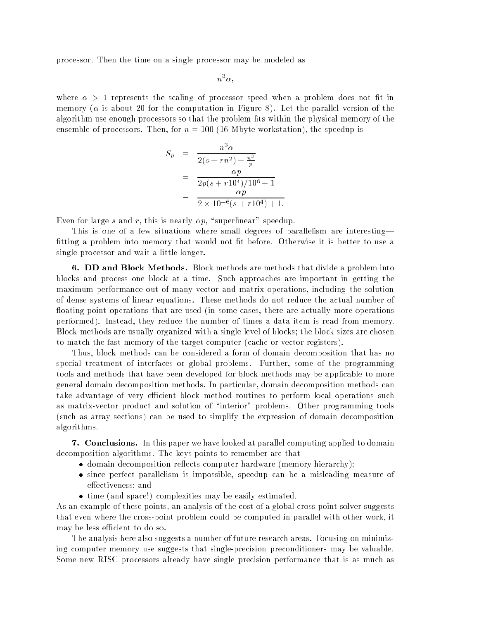processor. Then the time on a single processor may be modeled as

$$
n^3\alpha,
$$

where  $\alpha > 1$  represents the scaling of processor speed when a problem does not fit in memory ( $\alpha$  is about 20 for the computation in Figure 8). Let the parallel version of the algorithm use enough processors so that the problem fits within the physical memory of the ensemble of processors. Then, for  $n = 100$  (16-Mbyte workstation), the speedup is

$$
S_p = \frac{n^3 \alpha}{2(s + rn^2) + \frac{n^3}{p}}
$$
  
= 
$$
\frac{\alpha p}{2p(s + r10^4)/10^6 + 1}
$$
  
= 
$$
\frac{\alpha p}{2 \times 10^{-6}(s + r10^4) + 1}.
$$

Even for large s and r, this is nearly  $\alpha p$ , "superlinear" speedup.

This is one of a few situations where small degrees of parallelism are interesting fitting a problem into memory that would not fit before. Otherwise it is better to use a single processor and wait a little longer.

6. DD and Block Methods. Block methods are methods that divide a problem into blocks and process one block at a time. Such approaches are important in getting the maximum performance out of many vector and matrix operations, including the solution of dense systems of linear equations. These methods do not reduce the actual number of floating-point operations that are used (in some cases, there are actually more operations performed). Instead, they reduce the number of times a data item is read from memory. Block methods are usually organized with a single level of blocks; the block sizes are chosen to match the fast memory of the target computer (cache or vector registers).

Thus, block methods can be considered a form of domain decomposition that has no special treatment of interfaces or global problems. Further, some of the programming tools and methods that have been developed for block methods may be applicable to more general domain decomposition methods. In particular, domain decomposition methods can take advantage of very efficient block method routines to perform local operations such as matrix-vector product and solution of "interior" problems. Other programming tools (such as array sections) can be used to simplify the expression of domain decomposition algorithms.

7. Conclusions. In this paper we have looked at parallel computing applied to domain decomposition algorithms. The keys points to remember are that

- domain decomposition reflects computer hardware (memory hierarchy);
- since perfect parallelism is impossible, speedup can be a misleading measure of effectiveness; and
- time (and space!) complexities may be easily estimated.

As an example of these points, an analysis of the cost of a global cross-point solver suggests that even where the cross-point problem could be computed in parallel with other work, it may be less efficient to do so.

The analysis here also suggests a number of future research areas. Focusing on minimizing computer memory use suggests that single-precision preconditioners may be valuable. Some new RISC processors already have single precision performance that is as much as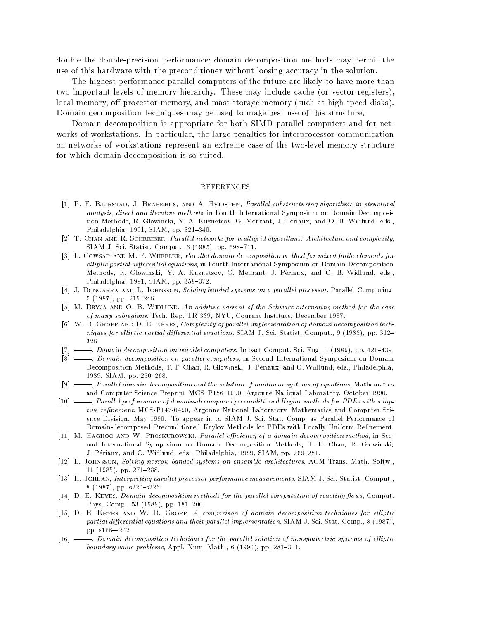double the double-precision performance; domain decomposition methods may permit the use of this hardware with the preconditioner without loosing accuracy in the solution.

The highest-performance parallel computers of the future are likely to have more than two important levels of memory hierarchy. These may include cache (or vector registers), local memory, off-processor memory, and mass-storage memory (such as high-speed disks). Domain decomposition techniques may be used to make best use of this structure.

Domain decomposition is appropriate for both SIMD parallel computers and for networks of workstations. In particular, the large penalties for interprocessor communication on networks of workstations represent an extreme case of the two-level memory structure for which domain decomposition is so suited.

## **REFERENCES**

- [1] P. E. BJORSTAD, J. BRAEKHUS, AND A. HVIDSTEN, Parallel substructuring algorithms in structural analysis, direct and iterative methods, in Fourth International Symposium on Domain Decomposition Methods, R. Glowinski, Y. A. Kuznetsov, G. Meurant, J. Periaux, and O. B. Widlund, eds., Philadelphia, 1991, SIAM, pp. 321-340.
- [2] T. CHAN AND R. SCHREIBER, Parallel networks for multigrid algorithms: Architecture and complexity, SIAM J. Sci. Statist. Comput.,  $6(1985)$ , pp.  $698-711$ .
- [3] L. Cowsar and M. F. WHEELER, Parallel domain decomposition method for mixed finite elements for elliptic partial differential equations, in Fourth International Symposium on Domain Decomposition Methods, R. Glowinski, Y. A. Kuznetsov, G. Meurant, J. Periaux, and O. B. Widlund, eds., Philadelphia, 1991, SIAM, pp.  $358-372$ .
- [4] J. DONGARRA AND L. JOHNSSON, Solving banded systems on a parallel processor, Parallel Computing,  $5(1987), pp. 219-246.$
- [5] M. DRYJA AND O. B. WIDLUND, An additive variant of the Schwarz alternating method for the case of many subregions, Tech. Rep. TR 339, NYU, Courant Institute, December 1987.
- [6] W. D. GROPP AND D. E. KEYES, Complexity of parallel implementation of domain decomposition techniques for elliptic partial differential equations, SIAM J. Sci. Statist. Comput., 9 (1988), pp. 312– 326.
- $\sim$ , Domain decomposition on parallel computers, Impact Comput. Sci. Eng., 1 (1989), pp. 421-439.
- [8] , Domain decomposition on parallel computers, in Second International Symposium on Domain Decomposition Methods, T. F. Chan, R. Glowinski, J. Periaux, and O. Widlund, eds., Philadelphia, 1989, SIAM, pp. 260-268.
- [9]  $\longrightarrow$ , Parallel domain decomposition and the solution of nonlinear systems of equations, Mathematics and Computer Science Preprint MCS-P186-1090, Argonne National Laboratory, October 1990.
- [10]  $\longrightarrow$ , Parallel performance of domain-decomposed preconditioned Krylov methods for PDEs with adaptive refinement, MCS-P147-0490, Argonne National Laboratory, Mathematics and Computer Science Division, May 1990. To appear in to SIAM J. Sci. Stat. Comp. as Parallel Performance of Domain-decomposed Preconditioned Krylov Methods for PDEs with Locally Uniform Refinement.
- [11] M. HAGHOO AND W. PROSKUROWSKI, Parallel efficiency of a domain decomposition method, in Second International Symposium on Domain Decomposition Methods, T. F. Chan, R. Glowinski, J. Périaux, and O. Widlund, eds., Philadelphia, 1989, SIAM, pp. 269-281.
- [12] L. JOHNSSON, Solving narrow banded systems on ensemble architectures, ACM Trans. Math. Softw.,  $11$  (1985), pp. 271-288.
- [13] H. JORDAN, Interpreting parallel processor performance measurements, SIAM J. Sci. Statist. Comput., 8 (1987), pp.  $s220-s226$ .
- [14] D. E. KEYES, *Domain decomposition methods for the parallel computation of reacting flows*, Comput. Phys. Comp., 53 (1989), pp. 181-200.
- [15] D. E. KEYES AND W. D. GROPP, A comparison of domain decomposition techniques for elliptic partial differential equations and their parallel implementation, SIAM J. Sci. Stat. Comp., 8 (1987), pp. s166-s202.
- [16]  $\longrightarrow$ , Domain decomposition techniques for the parallel solution of nonsymmetric systems of elliptic boundary value problems, Appl. Num. Math.,  $6$  (1990), pp. 281-301.